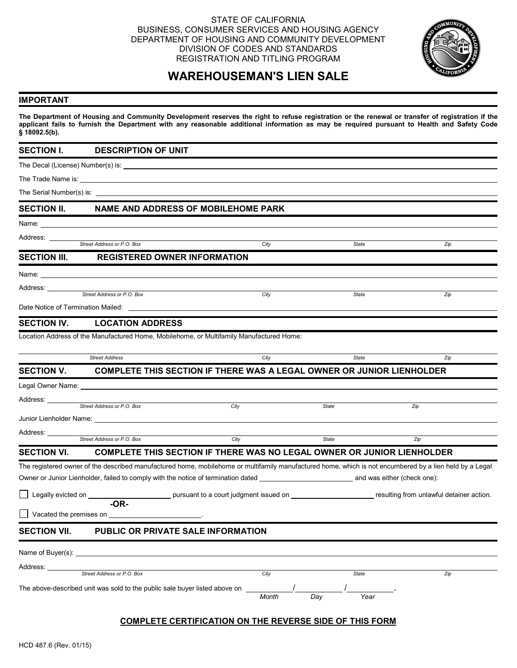## STATE OF CALIFORNIA BUSINESS, CONSUMER SERVICES AND HOUSING AGENCY DEPARTMENT OF HOUSING AND COMMUNITY DEVELOPMENT DIVISION OF CODES AND STANDARDS REGISTRATION AND TITLING PROGRAM



# **WAREHOUSEMAN'S LIEN SALE**

#### **IMPORTANT**

**The Department of Housing and Community Development reserves the right to refuse registration or the renewal or transfer of registration if the applicant fails to furnish the Department with any reasonable additional information as may be required pursuant to Health and Safety Code § 18092.5(b).**

**SECTION I. DESCRIPTION OF UNIT** The Decal (License) Number(s) is: The Trade Name is: The Serial Number(s) is: **SECTION II. NAME AND ADDRESS OF MOBILEHOME PARK** Name: Address: *Street Address or P.O. Box City State Zip* **SECTION III. REGISTERED OWNER INFORMATION** Name: Address: **Street Address or P.O. Box** *Zip Zip City* **<b>City** *City* **State** *Zip Zip* Date Notice of Termination Mailed: **SECTION IV. LOCATION ADDRESS** Location Address of the Manufactured Home, Mobilehome, or Multifamily Manufactured Home: *Street Address City State Zip* **SECTION V. COMPLETE THIS SECTION IF THERE WAS A LEGAL OWNER OR JUNIOR LIENHOLDER**  Legal Owner Name: Address: \_ **Street Address or P.O. Box 27 City State State 2. State 2. State 2. State 2. State 2. State 2. State 2. State 2. State 2. State 2. State 2. State 2. State 2. State 2. State 2. State 2. State 2. State 2. State 2. State 2.** Junior Lienholder Name: Address: *Street Address or P.O. Box City State Zip*  **SECTION VI. COMPLETE THIS SECTION IF THERE WAS NO LEGAL OWNER OR JUNIOR LIENHOLDER**  The registered owner of the described manufactured home, mobilehome or multifamily manufactured home, which is not encumbered by a lien held by a Legal Owner or Junior Lienholder, failed to comply with the notice of termination dated and was either (check one): Legally evicted on **pursuant to a court judgment issued on pursuant** to a court judgment issued on **pursuant** contraction. **-OR-** Vacated the premises on . **SECTION VII. PUBLIC OR PRIVATE SALE INFORMATION** Name of Buyer(s): Address: <u>Street Address or P.O. Box City State State State State State State State State State State State</u> Zip The above-described unit was sold to the public sale buyer listed above on  $\frac{1}{\text{Month}}$  Day Year *Month* 

# **COMPLETE CERTIFICATION ON THE REVERSE SIDE OF THIS FORM**